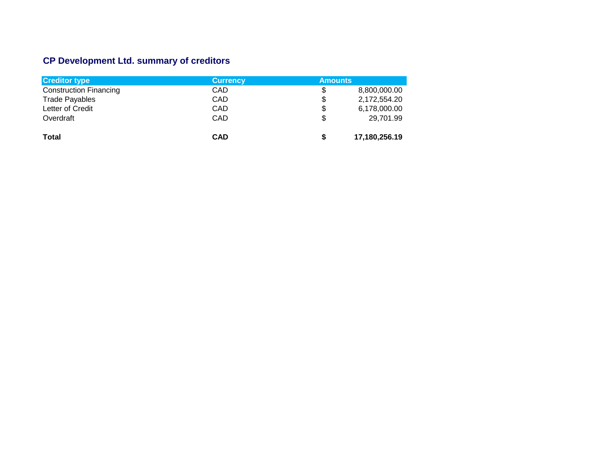# **CP Development Ltd. summary of creditors**

| <b>Creditor type</b>          | <b>Currency</b> | <b>Amounts</b> |               |
|-------------------------------|-----------------|----------------|---------------|
| <b>Construction Financing</b> | CAD             | \$             | 8,800,000.00  |
| <b>Trade Payables</b>         | CAD             | \$             | 2,172,554.20  |
| Letter of Credit              | CAD             | \$             | 6,178,000.00  |
| Overdraft                     | CAD             | \$             | 29.701.99     |
| <b>Total</b>                  | <b>CAD</b>      | \$             | 17,180,256.19 |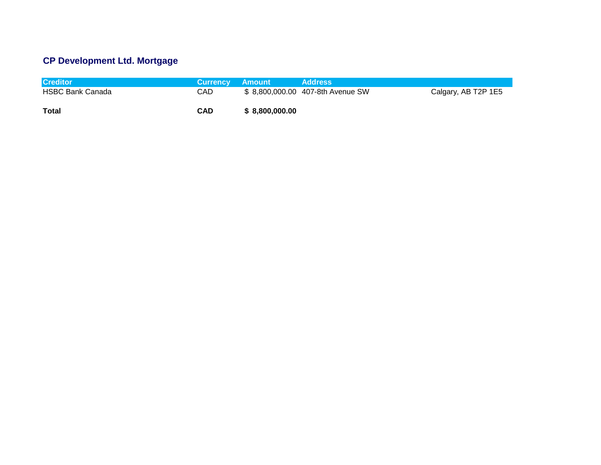# **CP Development Ltd. Mortgage**

| <b>Creditor</b>         | Currency Amount |                 | <b>Address</b>                   |                     |
|-------------------------|-----------------|-----------------|----------------------------------|---------------------|
| <b>HSBC Bank Canada</b> | CAD             |                 | \$8,800,000.00 407-8th Avenue SW | Calgary, AB T2P 1E5 |
| Total                   | <b>CAD</b>      | \$ 8.800,000,00 |                                  |                     |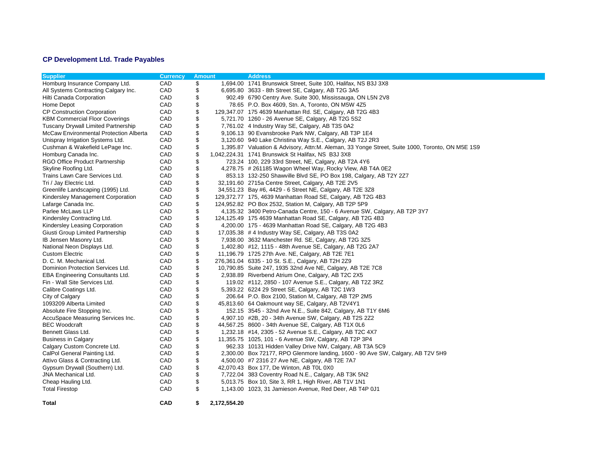## **CP Development Ltd. Trade Payables**

| <b>Supplier</b>                         | <b>Currency</b> | <b>Amount</b> |              | <b>Address</b>                                                                                   |
|-----------------------------------------|-----------------|---------------|--------------|--------------------------------------------------------------------------------------------------|
| Homburg Insurance Company Ltd.          | CAD             | \$            |              | 1,694.00 1741 Brunswick Street, Suite 100, Halifax, NS B3J 3X8                                   |
| All Systems Contracting Calgary Inc.    | CAD             | \$            |              | 6,695.80 3633 - 8th Street SE, Calgary, AB T2G 3A5                                               |
| Hilti Canada Corporation                | CAD             | \$            |              | 902.49 6790 Centry Ave. Suite 300, Mississauga, ON L5N 2V8                                       |
| Home Depot                              | CAD             | \$            |              | 78.65 P.O. Box 4609, Stn. A, Toronto, ON M5W 4Z5                                                 |
| <b>CP Construction Corporation</b>      | CAD             | \$            |              | 129,347.07 175 4639 Manhattan Rd. SE, Calgary, AB T2G 4B3                                        |
| <b>KBM Commercial Floor Coverings</b>   | CAD             | \$            |              | 5,721.70 1260 - 26 Avenue SE, Calgary, AB T2G 5S2                                                |
| Tuscany Drywall Limited Partnership     | CAD             | \$            |              | 7,761.02 4 Industry Way SE, Calgary, AB T3S 0A2                                                  |
| McCaw Environmental Protection Alberta  | CAD             | \$            |              | 9,106.13 90 Evansbrooke Park NW, Calgary, AB T3P 1E4                                             |
| Unispray Irrigation Systems Ltd.        | CAD             | \$            |              | 3,120.60 940 Lake Christina Way S.E., Calgary, AB T2J 2R3                                        |
| Cushman & Wakefield LePage Inc.         | CAD             | \$            |              | 1,395.87 Valuation & Advisory, Attn: M. Aleman, 33 Yonge Street, Suite 1000, Toronto, ON M5E 1S9 |
| Homburg Canada Inc.                     | CAD             | \$            |              | 1,042,224.31 1741 Brunswick St Halifax, NS B3J 3X8                                               |
| RGO Office Product Partnership          | CAD             | \$            |              | 723.24 100, 229 33rd Street, NE, Calgary, AB T2A 4Y6                                             |
| Skyline Roofing Ltd.                    | CAD             | \$            |              | 4,278.75 $\#$ 261185 Wagon Wheel Way, Rocky View, AB T4A 0E2                                     |
| Trains Lawn Care Services Ltd.          | CAD             | \$            |              | 853.13 132-250 Shawville Blvd SE, PO Box 198, Calgary, AB T2Y 2Z7                                |
| Tri / Jay Electric Ltd.                 | CAD             | \$            |              | 32,191.60 2715a Centre Street, Calgary, AB T2E 2V5                                               |
| Greenlife Landscaping (1995) Ltd.       | CAD             | \$            |              | 34,551.23 Bay #6, 4429 - 6 Street NE, Calgary, AB T2E 3Z8                                        |
| Kindersley Management Corporation       | CAD             | \$            |              | 129,372.77 175, 4639 Manhattan Road SE, Calgary, AB T2G 4B3                                      |
| Lafarge Canada Inc.                     | CAD             | \$            |              | 124,952.82 PO Box 2532, Station M, Calgary, AB T2P 5P9                                           |
| Parlee McLaws LLP                       | CAD             | \$            |              | 4,135.32 3400 Petro-Canada Centre, 150 - 6 Avenue SW, Calgary, AB T2P 3Y7                        |
| Kindersley Contracting Ltd.             | CAD             | \$            |              | 124, 125. 49 175 4639 Manhattan Road SE, Calgary, AB T2G 4B3                                     |
| Kindersley Leasing Corporation          | CAD             | \$            |              | 4,200.00 175 - 4639 Manhattan Road SE, Calgary, AB T2G 4B3                                       |
| Giusti Group Limited Partnership        | CAD             | \$            |              | 17,035.38 # 4 Industry Way SE, Calgary, AB T3S 0A2                                               |
| IB Jensen Masonry Ltd.                  | CAD             | \$            |              | 7,938.00 3632 Manchester Rd. SE, Calgary, AB T2G 3Z5                                             |
| National Neon Displays Ltd.             | CAD             | \$            |              | 1,402.80 #12, 1115 - 48th Avenue SE, Calgary, AB T2G 2A7                                         |
| <b>Custom Electric</b>                  | CAD             | \$            |              | 11,196.79 1725 27th Ave. NE, Calgary, AB T2E 7E1                                                 |
| D. C. M. Mechanical Ltd.                | CAD             | \$            |              | 276,361.04 6335 - 10 St. S.E., Calgary, AB T2H 2Z9                                               |
| Dominion Protection Services Ltd.       | CAD             | \$            |              | 10,790.85 Suite 247, 1935 32nd Ave NE, Calgary, AB T2E 7C8                                       |
| <b>EBA Engineering Consultants Ltd.</b> | CAD             | \$            |              | 2,938.89 Riverbend Atrium One, Calgary, AB T2C 2X5                                               |
| Fin - Wall Site Services Ltd.           | CAD             | \$            |              | 119.02 #112, 2850 - 107 Avenue S.E., Calgary, AB T2Z 3RZ                                         |
| Calibre Coatings Ltd.                   | CAD             | \$            |              | 5,393.22 6224 29 Street SE, Calgary, AB T2C 1W3                                                  |
| City of Calgary                         | CAD             | \$            |              | 206.64 P.O. Box 2100, Station M, Calgary, AB T2P 2M5                                             |
| 1093209 Alberta Limited                 | CAD             | \$            |              | 45,813.60 64 Oakmount way SE, Calgary, AB T2V4Y1                                                 |
| Absolute Fire Stopping Inc.             | CAD             | \$            |              | 152.15 3545 - 32nd Ave N.E., Suite 842, Calgary, AB T1Y 6M6                                      |
| AccuSpace Measuring Services Inc.       | CAD             | \$            |              | 4,907.10 #2B, 20 - 34th Avenue SW, Calgary, AB T2S 2Z2                                           |
| <b>BEC Woodcraft</b>                    | CAD             | \$            |              | 44,567.25 8600 - 34th Avenue SE, Calgary, AB T1X 0L6                                             |
| Bennett Glass Ltd.                      | CAD             | \$            |              | 1,232.18 #14, 2305 - 52 Avenue S.E., Calgary, AB T2C 4X7                                         |
| <b>Business in Calgary</b>              | CAD             | \$            |              | 11,355.75 1025, 101 - 6 Avenue SW, Calgary, AB T2P 3P4                                           |
| Calgary Custom Concrete Ltd.            | CAD             | \$            |              | 962.33 10131 Hidden Valley Drive NW, Calgary, AB T3A 5C9                                         |
| CalPol General Painting Ltd.            | CAD             | \$            |              | 2,300.00 Box 72177, RPO Glenmore landing, 1600 - 90 Ave SW, Calgary, AB T2V 5H9                  |
| Attivo Glass & Contracting Ltd.         | CAD             | \$            |              | 4,500.00 #7 2316 27 Ave NE, Calgary, AB T2E 7A7                                                  |
| Gypsum Drywall (Southern) Ltd.          | CAD             | \$            |              | 42,070.43 Box 177, De Winton, AB TOL 0X0                                                         |
| JNA Mechanical Ltd.                     | CAD             | \$            |              | 7,722.04 383 Coventry Road N.E., Calgary, AB T3K 5N2                                             |
| Cheap Hauling Ltd.                      | CAD             | \$            |              | 5,013.75 Box 10, Site 3, RR 1, High River, AB T1V 1N1                                            |
| <b>Total Firestop</b>                   | CAD             | \$            |              | 1,143.00 1023, 31 Jamieson Avenue, Red Deer, AB T4P 0J1                                          |
| Total                                   | <b>CAD</b>      | \$            | 2,172,554.20 |                                                                                                  |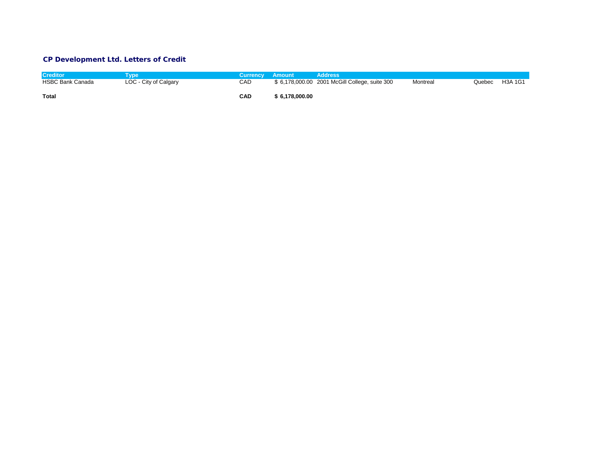## **CP Development Ltd. Letters of Credit**

| <b>Creditor</b>         | vpe                   | <b>Currency Amount</b> |                | Address                                       |          |        |         |
|-------------------------|-----------------------|------------------------|----------------|-----------------------------------------------|----------|--------|---------|
| <b>HSBC Bank Canada</b> | LOC - City of Calgary | CAD                    |                | \$6,178,000.00 2001 McGill College, suite 300 | Montreal | Quebec | H3A 1G1 |
|                         |                       |                        |                |                                               |          |        |         |
| <b>Total</b>            |                       | <b>CAD</b>             | \$6,178,000.00 |                                               |          |        |         |